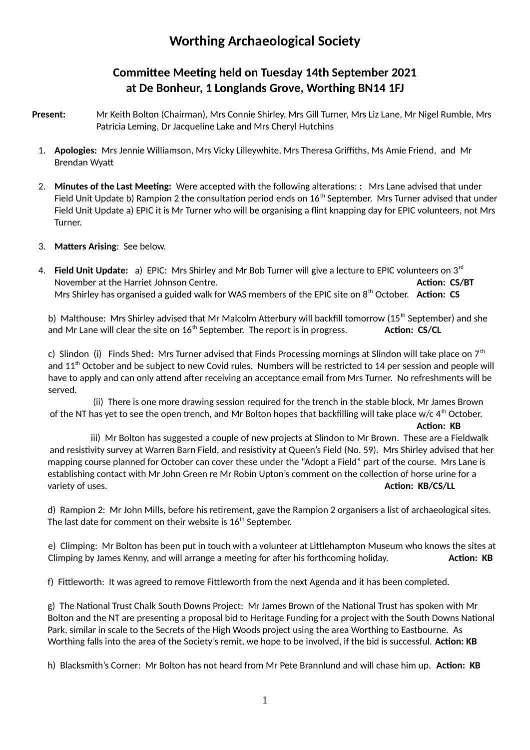## **Worthing Archaeological Society**

## **Committee Meeting held on Tuesday 14th September 2021 at De Bonheur, 1 Longlands Grove, Worthing BN14 1FJ**

- **Present:** Mr Keith Bolton (Chairman), Mrs Connie Shirley, Mrs Gill Turner, Mrs Liz Lane, Mr Nigel Rumble, Mrs Patricia Leming, Dr Jacqueline Lake and Mrs Cheryl Hutchins
	- 1. **Apologies:** Mrs Jennie Williamson, Mrs Vicky Lilleywhite, Mrs Theresa Griffiths, Ms Amie Friend, and Mr Brendan Wyatt
	- 2. **Minutes of the Last Meeting:** Were accepted with the following alterations: **:** Mrs Lane advised that under Field Unit Update b) Rampion 2 the consultation period ends on  $16<sup>th</sup>$  September. Mrs Turner advised that under Field Unit Update a) EPIC it is Mr Turner who will be organising a flint knapping day for EPIC volunteers, not Mrs Turner.
	- 3. **Matters Arising**: See below.
	- 4. **Field Unit Update:** a) EPIC: Mrs Shirley and Mr Bob Turner will give a lecture to EPIC volunteers on 3rd November at the Harriet Johnson Centre. **Action: CS/BT Action: CS/BT Action: CS/BT** Mrs Shirley has organised a guided walk for WAS members of the EPIC site on 8<sup>th</sup> October. Action: CS

b) Malthouse: Mrs Shirley advised that Mr Malcolm Atterbury will backfill tomorrow (15<sup>th</sup> September) and she and Mr Lane will clear the site on 16<sup>th</sup> September. The report is in progress. **Action: CS/CL** 

c) Slindon (i) Finds Shed: Mrs Turner advised that Finds Processing mornings at Slindon will take place on  $7<sup>th</sup>$ and 11<sup>th</sup> October and be subject to new Covid rules. Numbers will be restricted to 14 per session and people will have to apply and can only attend after receiving an acceptance email from Mrs Turner. No refreshments will be served.

 (ii) There is one more drawing session required for the trench in the stable block, Mr James Brown of the NT has yet to see the open trench, and Mr Bolton hopes that backfilling will take place w/c  $4^{\text{th}}$  October.

**Action: KB**

iii) Mr Bolton has suggested a couple of new projects at Slindon to Mr Brown. These are a Fieldwalk and resistivity survey at Warren Barn Field, and resistivity at Queen's Field (No. 59). Mrs Shirley advised that her mapping course planned for October can cover these under the "Adopt a Field" part of the course. Mrs Lane is establishing contact with Mr John Green re Mr Robin Upton's comment on the collection of horse urine for a variety of uses. **Action: KB/CS/LL**

d) Rampion 2: Mr John Mills, before his retirement, gave the Rampion 2 organisers a list of archaeological sites. The last date for comment on their website is 16<sup>th</sup> September.

e) Climping: Mr Bolton has been put in touch with a volunteer at Littlehampton Museum who knows the sites at Climping by James Kenny, and will arrange a meeting for after his forthcoming holiday. **Action: KB** 

f) Fittleworth: It was agreed to remove Fittleworth from the next Agenda and it has been completed.

g) The National Trust Chalk South Downs Project: Mr James Brown of the National Trust has spoken with Mr Bolton and the NT are presenting a proposal bid to Heritage Funding for a project with the South Downs National Park, similar in scale to the Secrets of the High Woods project using the area Worthing to Eastbourne. As Worthing falls into the area of the Society's remit, we hope to be involved, if the bid is successful. **Action: KB**

h) Blacksmith's Corner: Mr Bolton has not heard from Mr Pete Brannlund and will chase him up. **Action: KB**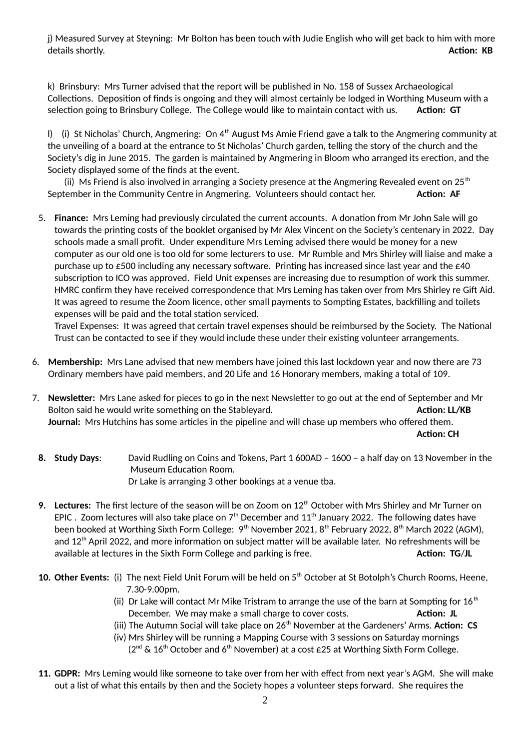j) Measured Survey at Steyning: Mr Bolton has been touch with Judie English who will get back to him with more details shortly. **Action: KB**

k) Brinsbury: Mrs Turner advised that the report will be published in No. 158 of Sussex Archaeological Collections. Deposition of finds is ongoing and they will almost certainly be lodged in Worthing Museum with a selection going to Brinsbury College. The College would like to maintain contact with us. **Action: GT**

I) (i) St Nicholas' Church, Angmering: On  $4<sup>th</sup>$  August Ms Amie Friend gave a talk to the Angmering community at the unveiling of a board at the entrance to St Nicholas' Church garden, telling the story of the church and the Society's dig in June 2015. The garden is maintained by Angmering in Bloom who arranged its erection, and the Society displayed some of the finds at the event.

(ii) Ms Friend is also involved in arranging a Society presence at the Angmering Revealed event on 25<sup>th</sup> September in the Community Centre in Angmering. Volunteers should contact her. **Action: AF** 

5. **Finance:** Mrs Leming had previously circulated the current accounts. A donation from Mr John Sale will go towards the printing costs of the booklet organised by Mr Alex Vincent on the Society's centenary in 2022. Day schools made a small profit. Under expenditure Mrs Leming advised there would be money for a new computer as our old one is too old for some lecturers to use. Mr Rumble and Mrs Shirley will liaise and make a purchase up to  $\epsilon$ 500 including any necessary software. Printing has increased since last year and the  $\epsilon$ 40 subscription to ICO was approved. Field Unit expenses are increasing due to resumption of work this summer. HMRC confirm they have received correspondence that Mrs Leming has taken over from Mrs Shirley re Gift Aid. It was agreed to resume the Zoom licence, other small payments to Sompting Estates, backfilling and toilets expenses will be paid and the total station serviced.

Travel Expenses: It was agreed that certain travel expenses should be reimbursed by the Society. The National Trust can be contacted to see if they would include these under their existing volunteer arrangements.

- 6. **Membership:** Mrs Lane advised that new members have joined this last lockdown year and now there are 73 Ordinary members have paid members, and 20 Life and 16 Honorary members, making a total of 109.
- 7. **Newsletter:** Mrs Lane asked for pieces to go in the next Newsletter to go out at the end of September and Mr Bolton said he would write something on the Stableyard. **Action: LL/KB** Action: LL/KB **Journal:** Mrs Hutchins has some articles in the pipeline and will chase up members who offered them. **Action: CH**
- **8. Study Days**: David Rudling on Coins and Tokens, Part 1 600AD 1600 a half day on 13 November in the Museum Education Room. Dr Lake is arranging 3 other bookings at a venue tba.
- **9. Lectures:** The first lecture of the season will be on Zoom on 12<sup>th</sup> October with Mrs Shirley and Mr Turner on EPIC . Zoom lectures will also take place on  $7<sup>th</sup>$  December and 11<sup>th</sup> January 2022. The following dates have been booked at Worthing Sixth Form College: 9<sup>th</sup> November 2021, 8<sup>th</sup> February 2022, 8<sup>th</sup> March 2022 (AGM), and 12<sup>th</sup> April 2022, and more information on subject matter will be available later. No refreshments will be available at lectures in the Sixth Form College and parking is free. **Action: TG/JL Action: TG/JL**
- 10. Other Events: (i) The next Field Unit Forum will be held on 5<sup>th</sup> October at St Botolph's Church Rooms, Heene, 7.30-9.00pm.
	- (ii) Dr Lake will contact Mr Mike Tristram to arrange the use of the barn at Sompting for  $16<sup>th</sup>$ December. We may make a small charge to cover costs. **Action: JL**
	- (iii) The Autumn Social will take place on 26<sup>th</sup> November at the Gardeners' Arms. Action: CS
	- (iv) Mrs Shirley will be running a Mapping Course with 3 sessions on Saturday mornings  $(2^{nd} \& 16^{th}$  October and 6<sup>th</sup> November) at a cost £25 at Worthing Sixth Form College.
- **11. GDPR:** Mrs Leming would like someone to take over from her with effect from next year's AGM. She will make out a list of what this entails by then and the Society hopes a volunteer steps forward. She requires the